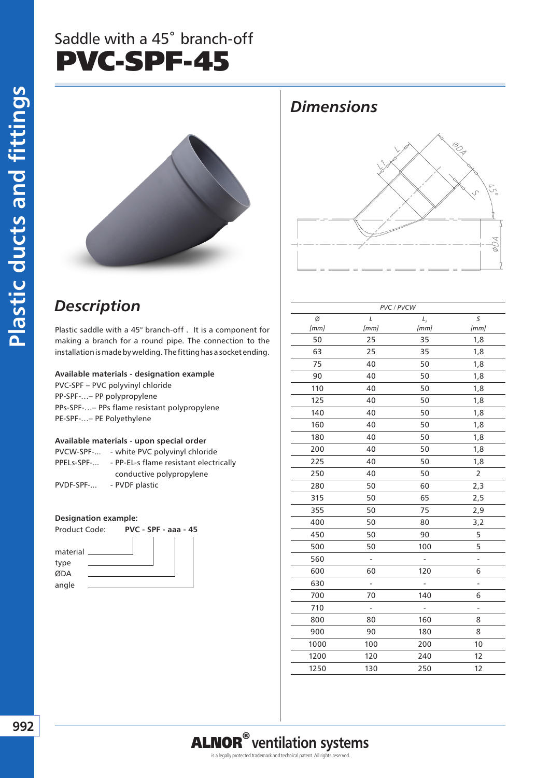## Saddle with a 45˚ branch-off PVC-SPF-45



### *Dimensions*



### *Description*

Plastic saddle with a 45° branch-off . It is a component for making a branch for a round pipe. The connection to the installation is made by welding. The fitting has a socket ending.

#### **Available materials - designation example**

PVC-SPF – PVC polyvinyl chloride PP-SPF-…– PP polypropylene PPs-SPF-…– PPs flame resistant polypropylene PE-SPF-…– PE Polyethylene

#### **Available materials - upon special order**

| PVCW-SPF-  | - white PVC polyvinyl chloride         |  |  |  |  |
|------------|----------------------------------------|--|--|--|--|
| PPELs-SPF- | - PP-EL-s flame resistant electrically |  |  |  |  |
|            | conductive polypropylene               |  |  |  |  |
| PVDF-SPF-  | - PVDF plastic                         |  |  |  |  |

#### **Designation example:**



|      | PVC / PVCW |      |                |  |  |  |  |  |
|------|------------|------|----------------|--|--|--|--|--|
| Ø    | L          | L,   | S              |  |  |  |  |  |
| [mm] | [mm]       | [mm] | [mm]           |  |  |  |  |  |
| 50   | 25         | 35   | 1,8            |  |  |  |  |  |
| 63   | 25         | 35   | 1,8            |  |  |  |  |  |
| 75   | 40         | 50   | 1,8            |  |  |  |  |  |
| 90   | 40         | 50   | 1,8            |  |  |  |  |  |
| 110  | 40         | 50   | 1,8            |  |  |  |  |  |
| 125  | 40         | 50   | 1,8            |  |  |  |  |  |
| 140  | 40         | 50   | 1,8            |  |  |  |  |  |
| 160  | 40         | 50   | 1,8            |  |  |  |  |  |
| 180  | 40         | 50   | 1,8            |  |  |  |  |  |
| 200  | 40         | 50   | 1,8            |  |  |  |  |  |
| 225  | 40         | 50   | 1,8            |  |  |  |  |  |
| 250  | 40         | 50   | $\overline{2}$ |  |  |  |  |  |
| 280  | 50         | 60   | 2,3            |  |  |  |  |  |
| 315  | 50         | 65   | 2,5            |  |  |  |  |  |
| 355  | 50         | 75   | 2,9            |  |  |  |  |  |
| 400  | 50         | 80   | 3,2            |  |  |  |  |  |
| 450  | 50         | 90   | 5              |  |  |  |  |  |
| 500  | 50         | 100  | 5              |  |  |  |  |  |
| 560  |            |      | 4              |  |  |  |  |  |
| 600  | 60         | 120  | 6              |  |  |  |  |  |
| 630  |            |      | -              |  |  |  |  |  |
| 700  | 70         | 140  | 6              |  |  |  |  |  |
| 710  |            |      | $\overline{a}$ |  |  |  |  |  |
| 800  | 80         | 160  | 8              |  |  |  |  |  |
| 900  | 90         | 180  | 8              |  |  |  |  |  |
| 1000 | 100        | 200  | 10             |  |  |  |  |  |
| 1200 | 120        | 240  | 12             |  |  |  |  |  |
| 1250 | 130        | 250  | 12             |  |  |  |  |  |
|      |            |      |                |  |  |  |  |  |